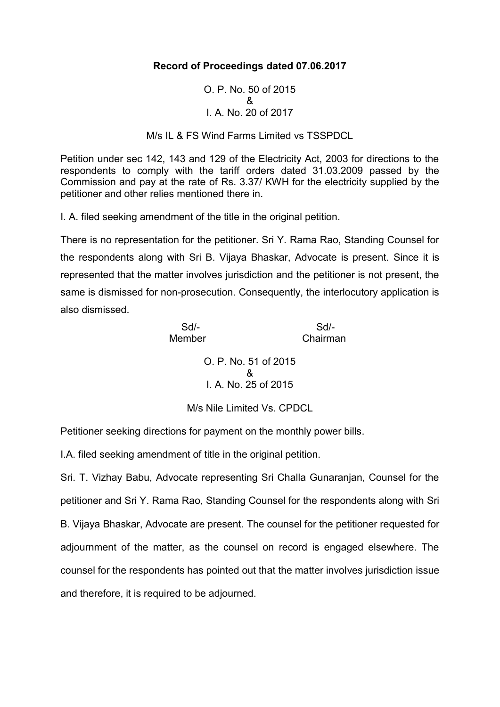## **Record of Proceedings dated 07.06.2017**

O. P. No. 50 of 2015 & I. A. No. 20 of 2017

M/s IL & FS Wind Farms Limited vs TSSPDCL

Petition under sec 142, 143 and 129 of the Electricity Act, 2003 for directions to the respondents to comply with the tariff orders dated 31.03.2009 passed by the Commission and pay at the rate of Rs. 3.37/ KWH for the electricity supplied by the petitioner and other relies mentioned there in.

I. A. filed seeking amendment of the title in the original petition.

There is no representation for the petitioner. Sri Y. Rama Rao, Standing Counsel for the respondents along with Sri B. Vijaya Bhaskar, Advocate is present. Since it is represented that the matter involves jurisdiction and the petitioner is not present, the same is dismissed for non-prosecution. Consequently, the interlocutory application is also dismissed.

> Sd/- Sd/- Member Chairman O. P. No. 51 of 2015 & I. A. No. 25 of 2015

> > M/s Nile Limited Vs. CPDCL

Petitioner seeking directions for payment on the monthly power bills.

I.A. filed seeking amendment of title in the original petition.

Sri. T. Vizhay Babu, Advocate representing Sri Challa Gunaranjan, Counsel for the petitioner and Sri Y. Rama Rao, Standing Counsel for the respondents along with Sri B. Vijaya Bhaskar, Advocate are present. The counsel for the petitioner requested for adjournment of the matter, as the counsel on record is engaged elsewhere. The counsel for the respondents has pointed out that the matter involves jurisdiction issue and therefore, it is required to be adjourned.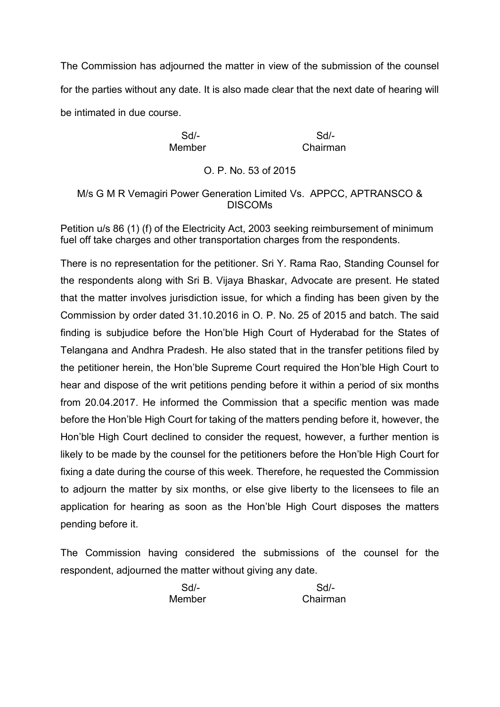The Commission has adjourned the matter in view of the submission of the counsel for the parties without any date. It is also made clear that the next date of hearing will be intimated in due course.

Member Chairman

Sd/- Sd/-

O. P. No. 53 of 2015

## M/s G M R Vemagiri Power Generation Limited Vs. APPCC, APTRANSCO & DISCOMs

Petition u/s 86 (1) (f) of the Electricity Act, 2003 seeking reimbursement of minimum fuel off take charges and other transportation charges from the respondents.

There is no representation for the petitioner. Sri Y. Rama Rao, Standing Counsel for the respondents along with Sri B. Vijaya Bhaskar, Advocate are present. He stated that the matter involves jurisdiction issue, for which a finding has been given by the Commission by order dated 31.10.2016 in O. P. No. 25 of 2015 and batch. The said finding is subjudice before the Hon'ble High Court of Hyderabad for the States of Telangana and Andhra Pradesh. He also stated that in the transfer petitions filed by the petitioner herein, the Hon'ble Supreme Court required the Hon'ble High Court to hear and dispose of the writ petitions pending before it within a period of six months from 20.04.2017. He informed the Commission that a specific mention was made before the Hon'ble High Court for taking of the matters pending before it, however, the Hon'ble High Court declined to consider the request, however, a further mention is likely to be made by the counsel for the petitioners before the Hon'ble High Court for fixing a date during the course of this week. Therefore, he requested the Commission to adjourn the matter by six months, or else give liberty to the licensees to file an application for hearing as soon as the Hon'ble High Court disposes the matters pending before it.

The Commission having considered the submissions of the counsel for the respondent, adjourned the matter without giving any date.

Sd/- Sd/- Member Chairman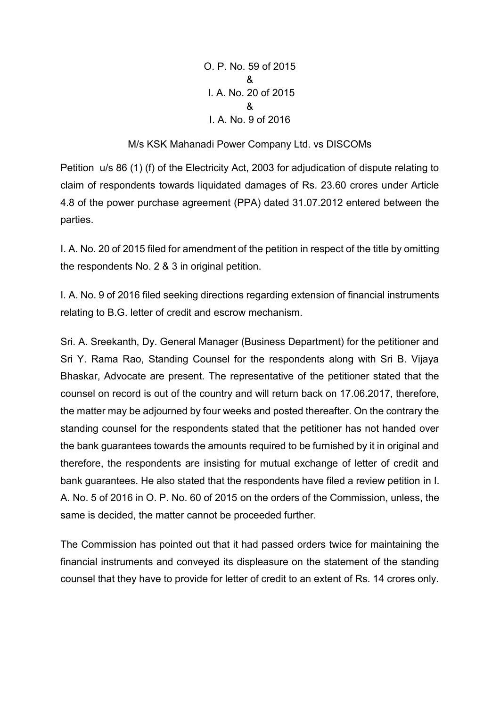O. P. No. 59 of 2015 & I. A. No. 20 of 2015 & I. A. No. 9 of 2016

## M/s KSK Mahanadi Power Company Ltd. vs DISCOMs

Petition u/s 86 (1) (f) of the Electricity Act, 2003 for adjudication of dispute relating to claim of respondents towards liquidated damages of Rs. 23.60 crores under Article 4.8 of the power purchase agreement (PPA) dated 31.07.2012 entered between the parties.

I. A. No. 20 of 2015 filed for amendment of the petition in respect of the title by omitting the respondents No. 2 & 3 in original petition.

I. A. No. 9 of 2016 filed seeking directions regarding extension of financial instruments relating to B.G. letter of credit and escrow mechanism.

Sri. A. Sreekanth, Dy. General Manager (Business Department) for the petitioner and Sri Y. Rama Rao, Standing Counsel for the respondents along with Sri B. Vijaya Bhaskar, Advocate are present. The representative of the petitioner stated that the counsel on record is out of the country and will return back on 17.06.2017, therefore, the matter may be adjourned by four weeks and posted thereafter. On the contrary the standing counsel for the respondents stated that the petitioner has not handed over the bank guarantees towards the amounts required to be furnished by it in original and therefore, the respondents are insisting for mutual exchange of letter of credit and bank guarantees. He also stated that the respondents have filed a review petition in I. A. No. 5 of 2016 in O. P. No. 60 of 2015 on the orders of the Commission, unless, the same is decided, the matter cannot be proceeded further.

The Commission has pointed out that it had passed orders twice for maintaining the financial instruments and conveyed its displeasure on the statement of the standing counsel that they have to provide for letter of credit to an extent of Rs. 14 crores only.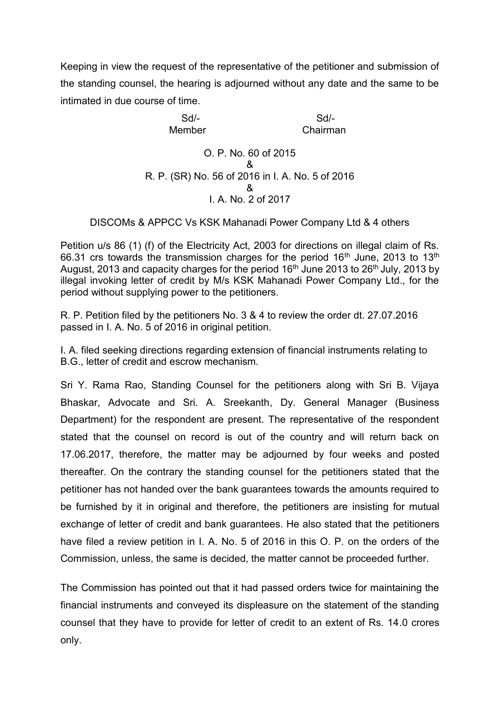Keeping in view the request of the representative of the petitioner and submission of the standing counsel, the hearing is adjourned without any date and the same to be intimated in due course of time.

> Sd/- Sd/- Member Chairman O. P. No. 60 of 2015 & R. P. (SR) No. 56 of 2016 in I. A. No. 5 of 2016 & I. A. No. 2 of 2017

DISCOMs & APPCC Vs KSK Mahanadi Power Company Ltd & 4 others

Petition u/s 86 (1) (f) of the Electricity Act, 2003 for directions on illegal claim of Rs. 66.31 crs towards the transmission charges for the period  $16<sup>th</sup>$  June, 2013 to  $13<sup>th</sup>$ August, 2013 and capacity charges for the period  $16<sup>th</sup>$  June 2013 to 26<sup>th</sup> July, 2013 by illegal invoking letter of credit by M/s KSK Mahanadi Power Company Ltd., for the period without supplying power to the petitioners.

R. P. Petition filed by the petitioners No. 3 & 4 to review the order dt. 27.07.2016 passed in I. A. No. 5 of 2016 in original petition.

I. A. filed seeking directions regarding extension of financial instruments relating to B.G., letter of credit and escrow mechanism.

Sri Y. Rama Rao, Standing Counsel for the petitioners along with Sri B. Vijaya Bhaskar, Advocate and Sri. A. Sreekanth, Dy. General Manager (Business Department) for the respondent are present. The representative of the respondent stated that the counsel on record is out of the country and will return back on 17.06.2017, therefore, the matter may be adjourned by four weeks and posted thereafter. On the contrary the standing counsel for the petitioners stated that the petitioner has not handed over the bank guarantees towards the amounts required to be furnished by it in original and therefore, the petitioners are insisting for mutual exchange of letter of credit and bank guarantees. He also stated that the petitioners have filed a review petition in I. A. No. 5 of 2016 in this O. P. on the orders of the Commission, unless, the same is decided, the matter cannot be proceeded further.

The Commission has pointed out that it had passed orders twice for maintaining the financial instruments and conveyed its displeasure on the statement of the standing counsel that they have to provide for letter of credit to an extent of Rs. 14.0 crores only.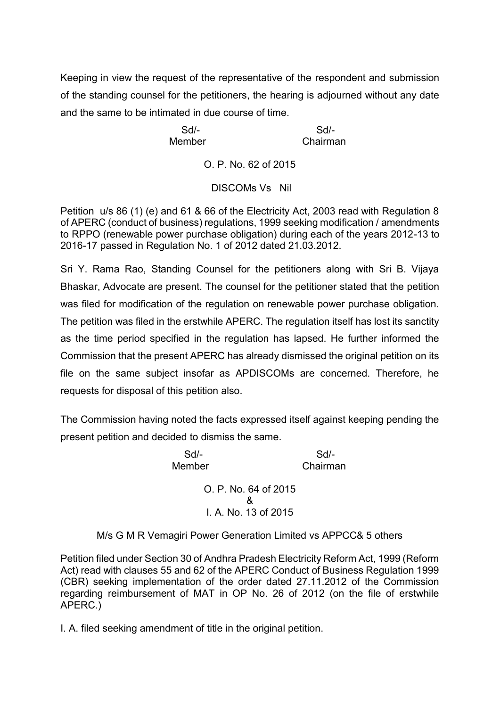Keeping in view the request of the representative of the respondent and submission of the standing counsel for the petitioners, the hearing is adjourned without any date and the same to be intimated in due course of time.

Sd/- Sd/- Member Chairman

O. P. No. 62 of 2015

## DISCOMs Vs Nil

Petition u/s 86 (1) (e) and 61 & 66 of the Electricity Act, 2003 read with Regulation 8 of APERC (conduct of business) regulations, 1999 seeking modification / amendments to RPPO (renewable power purchase obligation) during each of the years 2012-13 to 2016-17 passed in Regulation No. 1 of 2012 dated 21.03.2012.

Sri Y. Rama Rao, Standing Counsel for the petitioners along with Sri B. Vijaya Bhaskar, Advocate are present. The counsel for the petitioner stated that the petition was filed for modification of the regulation on renewable power purchase obligation. The petition was filed in the erstwhile APERC. The regulation itself has lost its sanctity as the time period specified in the regulation has lapsed. He further informed the Commission that the present APERC has already dismissed the original petition on its file on the same subject insofar as APDISCOMs are concerned. Therefore, he requests for disposal of this petition also.

The Commission having noted the facts expressed itself against keeping pending the present petition and decided to dismiss the same.

> Sd/- Sd/- Member Chairman O. P. No. 64 of 2015 & I. A. No. 13 of 2015

M/s G M R Vemagiri Power Generation Limited vs APPCC& 5 others

Petition filed under Section 30 of Andhra Pradesh Electricity Reform Act, 1999 (Reform Act) read with clauses 55 and 62 of the APERC Conduct of Business Regulation 1999 (CBR) seeking implementation of the order dated 27.11.2012 of the Commission regarding reimbursement of MAT in OP No. 26 of 2012 (on the file of erstwhile APERC.)

I. A. filed seeking amendment of title in the original petition.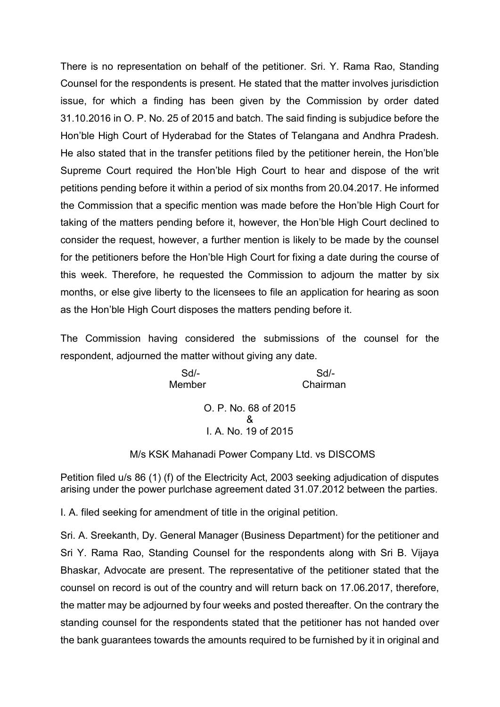There is no representation on behalf of the petitioner. Sri. Y. Rama Rao, Standing Counsel for the respondents is present. He stated that the matter involves jurisdiction issue, for which a finding has been given by the Commission by order dated 31.10.2016 in O. P. No. 25 of 2015 and batch. The said finding is subjudice before the Hon'ble High Court of Hyderabad for the States of Telangana and Andhra Pradesh. He also stated that in the transfer petitions filed by the petitioner herein, the Hon'ble Supreme Court required the Hon'ble High Court to hear and dispose of the writ petitions pending before it within a period of six months from 20.04.2017. He informed the Commission that a specific mention was made before the Hon'ble High Court for taking of the matters pending before it, however, the Hon'ble High Court declined to consider the request, however, a further mention is likely to be made by the counsel for the petitioners before the Hon'ble High Court for fixing a date during the course of this week. Therefore, he requested the Commission to adjourn the matter by six months, or else give liberty to the licensees to file an application for hearing as soon as the Hon'ble High Court disposes the matters pending before it.

The Commission having considered the submissions of the counsel for the respondent, adjourned the matter without giving any date.

> Sd/- Sd/- Member Chairman O. P. No. 68 of 2015 & I. A. No. 19 of 2015

M/s KSK Mahanadi Power Company Ltd. vs DISCOMS

Petition filed u/s 86 (1) (f) of the Electricity Act, 2003 seeking adjudication of disputes arising under the power purlchase agreement dated 31.07.2012 between the parties.

I. A. filed seeking for amendment of title in the original petition.

Sri. A. Sreekanth, Dy. General Manager (Business Department) for the petitioner and Sri Y. Rama Rao, Standing Counsel for the respondents along with Sri B. Vijaya Bhaskar, Advocate are present. The representative of the petitioner stated that the counsel on record is out of the country and will return back on 17.06.2017, therefore, the matter may be adjourned by four weeks and posted thereafter. On the contrary the standing counsel for the respondents stated that the petitioner has not handed over the bank guarantees towards the amounts required to be furnished by it in original and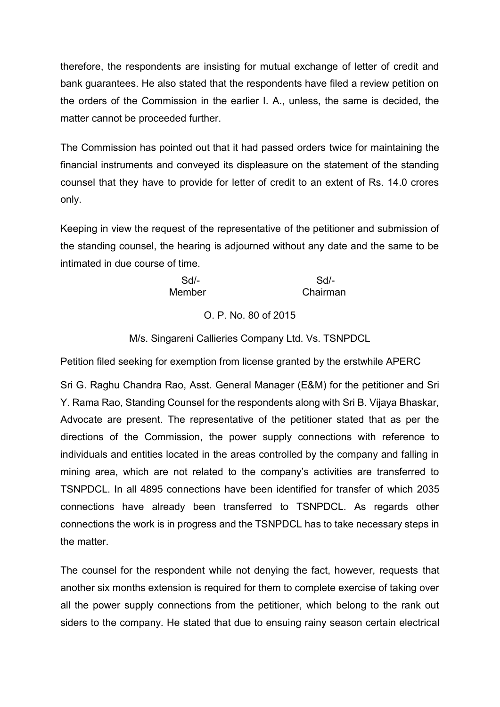therefore, the respondents are insisting for mutual exchange of letter of credit and bank guarantees. He also stated that the respondents have filed a review petition on the orders of the Commission in the earlier I. A., unless, the same is decided, the matter cannot be proceeded further.

The Commission has pointed out that it had passed orders twice for maintaining the financial instruments and conveyed its displeasure on the statement of the standing counsel that they have to provide for letter of credit to an extent of Rs. 14.0 crores only.

Keeping in view the request of the representative of the petitioner and submission of the standing counsel, the hearing is adjourned without any date and the same to be intimated in due course of time.

| Sd/-   | Sd/-     |
|--------|----------|
| Member | Chairman |

O. P. No. 80 of 2015

M/s. Singareni Callieries Company Ltd. Vs. TSNPDCL

Petition filed seeking for exemption from license granted by the erstwhile APERC

Sri G. Raghu Chandra Rao, Asst. General Manager (E&M) for the petitioner and Sri Y. Rama Rao, Standing Counsel for the respondents along with Sri B. Vijaya Bhaskar, Advocate are present. The representative of the petitioner stated that as per the directions of the Commission, the power supply connections with reference to individuals and entities located in the areas controlled by the company and falling in mining area, which are not related to the company's activities are transferred to TSNPDCL. In all 4895 connections have been identified for transfer of which 2035 connections have already been transferred to TSNPDCL. As regards other connections the work is in progress and the TSNPDCL has to take necessary steps in the matter.

The counsel for the respondent while not denying the fact, however, requests that another six months extension is required for them to complete exercise of taking over all the power supply connections from the petitioner, which belong to the rank out siders to the company. He stated that due to ensuing rainy season certain electrical